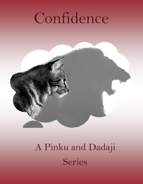# Confidence



# A Pinku and Dadaji Series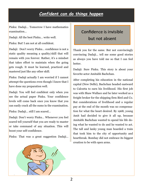## *Confident can do things happen*

Pinku: Dadaji… Tomorrow I have mathematics examination…

Dadaji: All the best Pinku… write well.

Pinku: But! I am not at all confident.

Dadaji: Don't worry Pinku… confidence is not a static quality meaning a quality/skill that will remain with you forever. Rather, it's a mindset that takes effort to maintain when the going gets rough. It must be learned, practiced and mastered just like any other skill.

Pinku: Dadaji actually I am worried if I cannot attempt the questions even though I know that I have done my preparation well.

Dadaji: You will feel confident only when you see the actual paper Pinku. Your confidence levels will come back once you know that you can easily crack all the sums in the examination.

Pinku: Dadaji… still I am scared…

Dadaji: Don't worry Pinku… Whenever you feel scared tell yourself that you are ready to master or take command of any situation. This will boost your self-confidence.

Pinku: That was a great suggestion Dadaji…

# Confidence is invisible but not absent

Thank you for the same. But not convincingly convincing Dadaji… tell me some good stories as always you have told me so that I can feel better.

Dadaji: Sure Pinku. This story is about your favorite actor Amitabh Bachchan.

After completing his education in the national capital (New Delhi), Bachchan headed eastward to Calcutta to earn his livelihood. His first job was with Shaw Wallace and he later worked as a freight broker for the shipping firm Bird and Co. But considerations of livelihood and a regular pay at the end of the month was no compensation for what the heart desired. By 1968, young Amit had decided to give it all up, because Amitabh Bachchan wanted to spend his life doing what he wanted to do and he wanted to act. The tall and lanky young man boarded a train that took him to the city of opportunity and heartbreak. Bombay did not embrace its biggest creation to be with open arms.

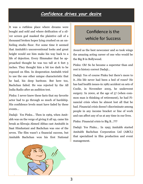## *Confidence drives your desire*

It was a ruthless place where dreams were bought and sold and where deification of a silver screen god masked the plaintive call of a thousand broken hopes lying crushed on an unfeeling studio floor. For some time it seemed that Amitabh's unconventional looks and great height would see him make his way back to a life of dejection. Every filmmaker that he approached thought he was too tall at 6 feet 3 inches. They thought him a bit too dark to be exposed on film. In desperation Amitabh tried to use the one other unique characteristic that he had, his deep baritone. But here too, Bachchan failed. He was rejected by the All India Radio after an audition test.

Pinku: I never knew these facts that my favorite actor had to go through so much of hardship. His confidence levels must have faded by these events…

Dadaji: Yes Pinku… Then in 1969, when Amitabh was on the verge of giving it all up, came his break as Khwaja Ahmed Abbas cast Amitabh in Saat Hindustani and Bachchan was one of the seven. The film wasn't a financial success, but Amitabh Bachchan won his first National



# Confidence is the vehicle for Success

Award as the best newcomer and so took wings the amazing acting career of one who would be the Big B in Bollywood.

Pinku: Oh! So he became a superstar than and rest is history correct Dadaji…

Dadaji: Yes of course Pinku but there's more to it…His life never had been a bed of roses? He has had health issues-in 1982 accident on sets of Coolie, in November 2005, he underwent surgery. In 2000, at the age of 57 (when common man is thinking of retirement), he had Financial crisis when he almost lost all that he had. Financial crisis doesn't discriminate among people in any income bracket or line of work and can affect any of us at any time in our lives.

Pinku: Financial crisis to Big B…???

Dadaji: Yes Pinku… In 1995 Amitabh started Amitabh Bachchan Corporation Ltd (ABCL) that specialized in film production and event management.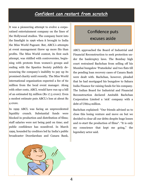#### *Confident can restart from scratch*

It was a pioneering attempt to evolve a corporatised entertainment company on the lines of the Hollywood studios. The company burst into the limelight in 1996 when it brought to India the Miss World Pageant. But, ABCL's attempts at event management threw up more fits than profits. The Miss World contest, its first such attempt, was riddled with controversies, beginning with protests from women's groups and ending with the Spastics Society publicly denouncing the company's inability to pay up its promised charity until recently. The Miss World international organization expected a fee of \$2 million from the local event manager. Along with other costs, ABCL would have run up a bill of an estimated \$5 million (Rs 17.5 crore). Even a modest estimate puts ABCL's loss at about Rs 4 crore.

In 1999 ABCL was facing an unprecedented liquidity crunch. Substantial funds were blocked in production and distribution of films; staff salaries were not being paid on time; and public confidence has nosedived. In March 1999, hounded by creditors led by India's public broadcaster Doordarshan and Canara Bank,

# Confidence puts excuses aside

ABCL approached the Board of Industrial and Financial Reconstruction to seek protection under the bankruptcy laws. The Bombay high court restrained Bachchan from selling off his Mumbai bungalow 'Prateeksha' and two flats till the pending loan recovery cases of Canara Bank were dealt with. Bachchan, however, pleaded that he had mortgaged his bungalow to Sahara India Finance for raising funds for his company. The Indian Board for Industrial and Financial Reconstruction declared Amitabh Bachchan Corporation Limited a 'sick' company with a debt of US\$14 million.

Bachchan explained: "Our friends advised us to close this losing venture and move on but we decided to clear all our debts despite huge losses and re-start the production of films". "It is only my conscience that kept me going," the legendary actor said.

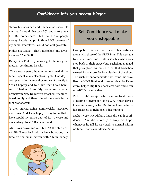#### *Confidence lets you dream bigger*

"Many businessmen and financial advisers told me that I should give up ABCL and start a new life. But somewhere I felt that I owe people money. People had put faith in ABCL because of my name. Therefore, I could not let it go easily."

Pinku: See Dadaji "That's Bachchan" my favorite actor "The Big B"…

Dadaji: Yes Pinku… you are right… he is a great mettle… continuing he said:

"There was a sword hanging on my head all the time. I spent many sleepless nights. One day, I got up early in the morning and went directly to Yash Chopraji and told him that I was bankrupt. I had no films. My house and a small property in New Delhi were attached. Yashji listened coolly and then offered me a role in his film Mohabattein,"

"I then started doing commercials, television and films. And I am happy to say today that I have repaid my entire debt of Rs 90 crore and am starting afresh," Bachchan said.

ABCL was down and out, but AB the star wasn't. Big B was back with a bang by 2000, this time on the small screen with "Kaun Banega

# Self Confidence will make you unstoppable

Crorepati" a series that revived his fortunes along with those of the STAR Plus. This was at a time when most movie stars saw television as a step back in their career but Bachchan changed that perception. Estimates reveal that Bachchan earned Rs 15 crore for 85 episodes of the show. The rush of endorsements that came his way, like the ICICI Bank endorsement deal for Rs 10 crore, helped Big B pay back creditors and clean up ABCL's balance sheet.

Pinku: Huh! Dadaji… after listening to all these I became a bigger fan of his… All these days I knew him as only actor. But today I even admire his greatness to fight back odd situations.

Dadaji: Very true Pinku… thats all I call it confidence. Amitabh never gave away his hope; whenever he fell he was back to normal within no time. That is confidence Pinku…

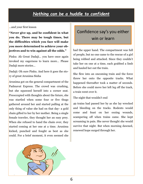### *Nothing can be a huddle to confident*

#### …and your first lesson

**"Never give up, and be confident in what you do. There may be tough times, but the difficulties which you face will make you more determined to achieve your objectives and to win against all the odds."**

Pinku: Ah Great Dadaji… you have once again invoked my eagerness to learn more… Please Dadaji more stories…

Dadaji: Oh sure Pinku. And here it goes the story of great Arunima Sinha

Arunima got on the general compartment of the Padmavat Express. The crowd was crushing, but she squeezed herself into a corner seat. Preoccupied with thoughts about the future, she was startled when some four or five thugs gathered around her and started pulling at the only thing of value she had on that day- a gold chain gifted to her by her mother. Being a single female traveler, they thought her an easy prey. When she refused to hand the chain over, they started coming at her one at a time. Arunima kicked, punched and fought as best as she could. For a brief moment, it even seemed she



# Confidence say's you either win or learn

had the upper hand. The compartment was full of people, but no one came to the rescue of a girl being robbed and attacked. Since they couldn't take her on one at a time, each grabbed a limb and hauled her out the train.

She flew into an oncoming train and the force threw her onto the opposite tracks. What happened thereafter took a matter of seconds. Before she could move her left leg off the track, a train went over it.

The night that wouldn't end

49 trains had passed her by as she lay wrecked and bleeding on the tracks. Rodents would come and feast on her oozing wounds, scampering off when trains came. She kept screaming in pain. She never thought she would survive that night. But when morning dawned, renewed hope surged through her.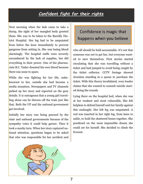## *Confident fight for their rights*

Next morning when the lads came to take a dump, the sight of her mangled body greeted them. She was to be taken to the Bareilly District Hospital. Her leg had to be amputated from below the knee immediately to prevent gangrene from setting in. She was losing blood alarmingly. The hospital staffs were severely encumbered by the lack of supplies, but did everything in their power. One of the pharmacists B.C. Yadav donated his own blood because there was none to spare.

While she was fighting for her life, unbeknownst to her, outside she had become a media sensation. Newspapers and TV channels picked up her story and reported on the gory details. It is outrageous that a young girl travelling alone can be thrown off the train just like that. Both the UP and the national government got involved.

Initially her story was being pawned by the state and national governments because of the sympathy votes it could help garner. Then it took a murky turn. When her story captured national attention, questions began to be asked that who was responsible for her accident and

# Confidence is magic that happens when you believe

who all should be held accountable. It's not that someone was out to get her, but everyone wanted to save themselves. First stories started circulating that she was travelling without a ticket and had jumped to avoid being caught by the ticket collector. CCTV footage showed Arunima standing in a queue to purchase the ticket. With this theory invalidated, even louder claims that she wanted to commit suicide started doing the rounds.

Lying there on the hospital bed, when she was at her weakest and most vulnerable, She felt helpless to defend herself and her family against this onslaught. Her left leg was amputated. A rod was inserted in her right leg, from knee to ankle, to hold the shattered bones together. She pondered on the most impossible dream she could set for herself. She decided to climb the Everest.

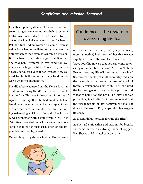## *Confident are mission focused*

Usually amputee patients take months, or even years, to get accustomed to their prosthetic limbs. Arunima walked in two days. Straight out of the hospital she went to see Bachendri Pal, the first Indian woman to climb Everest. Aside from her immediate family, she was the only person to not dismiss Arunima's mission. But Bachendri pal didn't sugar coat it either. She told her, "Arunima in this condition you made such a huge decision. Know that you have already conquered your inner Everest. Now you need to climb the mountain only to show the world what you are made of."

She did a basic course from the Nehru Institute of Mountaineering (NIM), the best school of its kind in Asia. This was followed by 18 months of rigorous training. She climbed smaller, but no less dangerous mountains, had a couple of near death experiences and underwent mind numbing, exhausting, spirit crushing pain. She initially was supported with a grant from NIM. Then Tata Steel provided her with a generous sponsorship that let her focus exclusively on the impossible task that lay ahead.

On 21st May 2013 she reached the Everest sum-

# Confidence is the reward for overcoming the fear

mit. Earlier her Sherpa (Guides/helpers during mountaineering) had informed her that oxygen supply was critically low. He also advised her "Save your life now so that you can climb Everest again later," but, she said, "If I don't climb Everest now, my life will not be worth saving." She erected the flag of mother country India on the peak, deposited some pictures of my idol Swami Vivekananda next to it. Then she used the last vestiges of oxygen to take pictures and videos of herself on the peak. She knew she was probably going to die. So it was important that the visual proofs of her achievement make it down to the world. Fifty steps later, her oxygen finished.

#### As is said Pinku "Fortune favours the gritty"

As she laid suffocating and gasping for breath, she came across an extra cylinder of oxygen. Her Sherpa quickly latched it on to her.

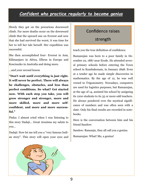#### *Confident who practice regularly to become genius*

Slowly they got on the precarious downward climb. Far more deaths occur on the downward climb that the upward one on Everest and now that she had survived the worst, it was time for her to tell her tale herself. Her expedition was successful.

She then accomplished four- Everest in Asia, Kilimanjaro in Africa, Elbrus in Europe and Kosciuszko in Australia and doing more.

#### …and your second lesson

**"Don't wait until everything is just right. It will never be perfect. There will always be challenges, obstacles, and less than perfect conditions. So what? Get started now. With each step you take, you will grow stronger and stronger, more and more skilled, more and more selfconfident, and more and more successful."**

Pinku: I almost cried when I was listening to this story Dadaji… Great Arunima my salute to you…

Dadaji: Now let me tell you a "very famous Indian story". This story will open your eyes and

# Confidence raises strength

teach you the true definition of confidence.

Ramanujan was born to a poor family in December 22, 1887 near Erode. He attended several primary schools before entering the Town school in Kumbakonam, in January 1898. Even at a tender age he made simple discoveries in mathematics. By the age of 12, he was well versed in Trigonometry. Nowadays, computers are used for logistics purposes, but Ramanujan, at the age of 14, assisted his school by assigning its 1200 students to its 35 or more odd teachers. He always pondered over the mystical significance of numbers and was often seen with a slate. Only his final results are recorded in notebooks.

Here is the conversation between him and his friend Sandow:

Sandow: Ramanju, they all call you a genius.

Ramanujan: What! Me, a genius!

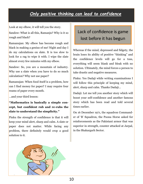## *Only positive thinking can lead to confidence*

Look at my elbow, it will tell you the story.

Sandow: What is all this, Ramanju? Why is it so rough and black?

Ramanujan: My elbow has become rough and black in making a genius of me! Night and day I do my calculations on slate. It is too slow to look for a rag to wipe it with. I wipe the slate almost every few minutes with my elbow.

Sandow: So, you are a mountain of industry. Why use a slate when you have to do so much calculation? Why not use paper?

Ramanujan: When food itself is a problem, how can I find money for paper? I may require four reams of paper every month.

…and your third lesson:

**"Mathematics is basically a simple concept, but confident rub and re-rubs the slate to understand the simplicity."**

Pinku the strength of confidence is that it will keep your mind alert, sharp and calm. A slate or paper does not matter. While facing any problem, there definitely would crop a good solution to it.

# Lack of confidence is game lost before it has begun

Whereas if the mind, depressed and fidgety, the brain loses its ability of positive "thinking" and the confidence levels will go for a toss, everything will seem blank and bleak with no solution. Ultimately, the mind forces a person to take drastic and negative measures.

Pinku: Yes Dadaji while writing examinations I will follow this principle of keeping my mind, alert, sharp and calm. Thanks Dadaji…

Dadaji: Let me tell you another story which will boost your self-confidence and another famous story which has been read and told several times earlier.

On 16 December 1971, the squadron Commander of 'B' Squadron, the Poona Horse asked for reinforcements as the Pakistani armor that was superior in strength, counter attacked at Jarpal, in the Shakargarh Sector.

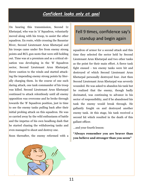## *Confident looks only at goal*

On hearing this transmission, Second Lt Khetarpal, who was in 'A' Squadron, voluntarily moved along with his troop, to assist the other squadron. En route, while crossing the Basantar River, Second Lieutenant Arun Khetarpal and his troops came under fire from enemy strong points and RCL gun nests that were still holding out. Time was at a premium and as a critical situation was developing in the 'B' Squadron sector, Second Lieutenant Arun Khetarpal, threw caution to the winds and started attacking the impending enemy strong points by literally charging them. In the course of one such daring attack, one tank commander of his troop was killed. Second Lieutenant Arun Khetarpal continued to attack relentlessly until all enemy opposition was overcome and he broke through towards the 'B' Squadron position, just in time to see the enemy tanks pulling back after their initial probing attack on this squadron. He was so carried away by the wild enthusiasm of battle and the impetus of his own headlong dash that he started chasing the withdrawing tanks and even managed to shoot and destroy one.

Soon thereafter, the enemy reformed with a

# Fell 9 times, confidence say's standup and begin again

squadron of armor for a second attack and this time they selected the sector held by Second Lieutenant Arun Khetarpal and two other tanks as the point for their main effort. A fierce tank fight ensued - ten enemy tanks were hit and destroyed of which Second Lieutenant Arun Khetarpal personally destroyed four. Just then Second Lieutenant Arun Khetarpal was severely wounded. He was asked to abandon his tank but he realized that the enemy, though badly decimated, was continuing to advance in his sector of responsibility, and if he abandoned his tank the enemy would break through. He gallantly fought on and destroyed another enemy tank. At this stage, his tank received a second hit which resulted in the death of this gallant officer.

…and your fourth lesson:

**"Always remember you are braver than you believe and stronger than you seem"**

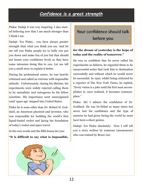## *Confidence is a great strength*

Pinku: Dadaji it was very inspiring. I also started believing now that I am much stronger than I think I am.

Dadaji: Yes Pinku… you have always greater strength than what you think you are. And let me tell you Pinku people try to bully you put you down and make fun of you but that should not lessen your confidence levels as they have some intension doing this to you. Let me tell you a small story to explain it better.

During his professional career, he was heavily criticized and called an extreme with impossible attitude. Unfortunately, during his lifetime, his experiments were widely rejected calling them to be unrealistic and outrageous by his fellow scientists. His importance went unrecognized until 'space age' stepped into United States.

Pinku he is none other than Dr. Robert H. Goddard, an American physicist and inventor, who was responsible for building the world's first liquid-fueled rocket and laying the foundation of today's rocket and space travel.

In his own words and the fifth lesson for you:

**"It is difficult to say what is impossible,** 

# Your confidence should talk before you

#### **for the dream of yesterday is the hope of today and the reality of tomorrow."**

He was so confident that he never called his experiments as failures, he regarded them to be unsuccessful series that took him to destination successfully and without which he would never be successful. In 1920, whilst being criticized by a reporter of The New York Times, he replied, "Every vision is a joke until the first man accomplishes it; once realized, it becomes commonplace."

Pinku: Ah! I admire the confidence of Dr. Goddard. He was be-littled so many times but never lost his confidence and the type of answers he had given facing the world he must have been a sheer genius.

Dadaji: Yes Pinku absolutely. Now I will tell you a story written by someone (anonymous) who was trained by Bruce Lee:

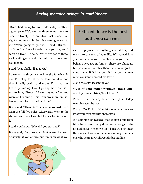## *Acting morally brings in confidence*

"Bruce had me up to three miles a day, really at a good pace. We'd run the three miles in twenty -one or twenty-two minutes. Just fewer than eight minutes a mile. So this morning he said to me "We're going to go five." I said, "Bruce, I can't go five. I'm a lot older than you are, and I can't do five." He said, "When we get to three, we'll shift gears and it's only two more and you'll do it."

I said "Okay, hell, I'll go for it."

So we get to three, we go into the fourth mile and I'm okay for three or four minutes, and then I really begin to give out. I'm tired, my heart's pounding, I can't go any more and so I say to him, "Bruce if I run anymore,"  $-$  and we're still running — "if I run any more I'm liable to have a heart attack and die."

Bruce said, "Then die" It made me so mad that I went the full five miles. Afterward I went to the shower and then I wanted to talk to him about it.

I said, you know, "Why did you say that?"

Bruce said, "Because you might as well be dead. Seriously, if you always put limits on what you

# Self confidence is the best outfit you can wear

can do, physical or anything else, it'll spread over into the rest of your life. It'll spread into your work, into your morality, into your entire being. There are no limits. There are plateaus, but you must not stay there, you must go beyond them. If it kills you, it kills you. A man must constantly exceed his level."

…and the sixth lesson for you:

#### **"A confident man (/Women) must constantly exceed his (/her) level."**

Pinku: I like the way Bruce Lee fights. Dadaji true character he was…

Dadaji: Yes Pinku… Now let me tell you the story of your own favorite characters:

It's common knowledge that Indian animation films have never really done well amongst Indian audiences. When we look back we only hear the names of some of the major money spinners over the years for Hollywood's big studios

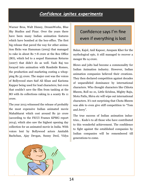## *Confidence ignites experiments*

Warner Bros, Walt Disney, DreamWorks, Blue Sky Studios and Pixar. Over the years there have been many Indian animation features which have bombed at the box-office. The first big release that paved the way for other animation flicks was Hanuman (2005) that managed to rake in about Rs 7-8 crore at the Box Office (BO), which led to a sequel Hanuman Returns (2007) that didn't do as well. Yash Raj too forayed into animation with Roadside Romeo, the production and marketing costing a whopping Rs 35 crore. The major cost was the voices of Bollywood stars Saif Ali Khan and Karisma Kappor being used for lead characters; but even that couldn't save the film from tanking at the BO with its collections raking in a scanty Rs 11 crore.

The year 2013 witnessed the release of probably the most expensive Indian animated movie Mahabharat which cost around Rs 50 crore (according to the FICCI Frames KPMG report 2014), which also saw the highest opening day collection for an animated movie in India. With voices lent by Bollywood actors Amitabh Bachchan, Ajay Devgan, Sunny Deol, Vidya

# Confidence says I'm fine even if everything is lost

Balan, Kajol, Anil Kapoor, Anupam Kher for the mythological epic, it still managed to recover a meager Rs 14 crore.

Blows and jolts had become a commonality for Indian Animation industry. However, Indian animation companies believed their creations. They then declared competition against decades of unparalleled dominance by international characters. Who thought characters like Chhota Bheem, Roll no 21, Little Krishna, Mighty Raju, Motu Patlu, Shiva etc will wipe out international characters. It's not surprising that Chota Bheem was able to even give stiff competition to "Tom and Jerry".

The true success of Indian animation industries… Kudo's to all those who have contributed to this wonderful achievement. The confidence to fight against the established companies by Indian companies will be remembered till generations to come.

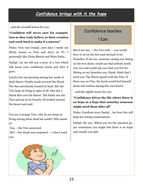## *Confidence brings with it the hope*

…and the seventh lesson for you:

#### **"Confident will never care for competition as they truly believe in their creation and work hard to make it a success"**

Pinku: Very true Dadaji…now days I rarely see Micky mouse or Tom and Jerry on TV. I personally like Chota Bheem and Motu Patlu…

Dadaji: Let me tell you a story of a tree which will boost your confidence levels and here it goes:

Lonely tree was growing among hot sands of dead desert. Prickly sands covered the Wood. The Sun mercilessly burned its bark. But the Tree kept on living in spite of all. One day a Hawk flew over the desert. The Hawk saw the Tree and sat on its branch. He looked around the desert and said:

You are a strange Tree, why do you keep on living among these dead hot sands? Who needs it?

You, —the Tree answered.

Me? —the Hawk was surprised. — I don't need you.

#### Confidence teaches

#### I Can

But if not me, — the Tree told, — you would have to sit on the hot sand instead of my branches. If not me, someone, seeing you sitting on the tree alone, would say that nobody needs you, too and would ask you what you live for. Sitting on my branches you, Hawk, think that I need you. The Hawk agreed with the Tree. If there was no Tree, the hawk would feel himself alone and useless among this vast desert.

…and the eighth lesson for you:

#### **"Confidence drives the life where there is no hope in a hope that someday someone might need them after all"**

Pinku: Excellent story Dadaji… but how this will help me writing examinations.

Dadaji: My son…When you see the question paper sometimes you might feel there is no hope and usually you quit.

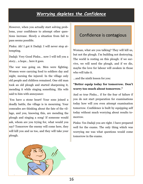## *Worrying depletes the Confidence*

However, when you actually start solving problems, your confidence to attempt other questions increase. Slowly a situation from fail to pass seems possible.

Pinku: Ah! I got it Dadaji. I will never stop attempting.

Dadaji: Very Good Pinku… now I will tell you a story… a hope… here it goes.

The war was going on. Men were fighting. Women were carrying food to soldiers day and night, nursing the injured. In the village only old people and children remained. One old man took an old plough and started sharpening it, mending it while singing something. His wife said to him with annoyance:

You have a stone heart! Your sons joined a deadly battle, the village is in mourning. Your comrades are thinking about the fate of the village, and you, knowing this, are mending the plough and singing a song! If someone would ask, whom are you trying for, what would you say? Tomorrow the enemy will come here, they will kill you and us too, and they will take your plough.

#### Confidence is contagious

Woman, what are you talking? They will kill us, but not the plough. I'm building not destroying. The world is resting on this plough: if we survive, we will need the plough, and if we die, maybe the love for labour will awaken in those who will take it.

…and the ninth lesson for you:

#### **"Better equip today for tomorrow. Don't worry too much about tomorrow."**

And so true Pinku… if for the fear of failure if you do not start preparation for examinations today how will you even attempt examination tomorrow. Confidence is built by equipping self today without much worrying about results tomorrow.

Pinku: Yes Dadaji you are right. I have prepared well for the exams. The only thing which was worrying me was what questions would come tomorrow in the exams.

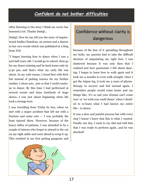## *Confident do not bother difficulties*

After listening to the story I think my worry has lessened a lot. Thanks Dadaji…

Dadaji: Now let me tell you the story of inspirational Sudha Chandran, an actress and a dancer in her own words which was published in a blog from TOI.

"I began learning how to dance when I was 3 and half years old. I would go to school, then go for my dance training and be back home only by 9:30 pm…and that's what my early life was about. In my 10th exams, I stood first with 80% but instead of picking science for my further studies, I chose arts…just so that I could continue to dance. By this time I had performed at several events and done hundreds of stage shows…I was just about beginning when life took a strange turn.

I was travelling from Trichy by bus, when we met with a major accident that left me with a fracture and some cuts  $-$  I was probably the least injured there. However, because of the heavy influx of patients, I was attended to by a couple of interns who forgot to attend to the cut on my right ankle and went ahead to wrap it up. This resulted in my foot getting gangrene and

# Confidence without clarity is dangerous

because of the fear of it spreading throughout my body; my parents had to take the difficult decision of amputating my right foot. I was shattered because It was only then that I realized just how passionate I felt about dancing. I began to learn how to walk again and it took me 4 months to even walk straight. Once I got the Jaipur leg, it took me 3 years of physiotherapy to recover and feel normal again. I remember people would come home and say things like, 'it's so sad your dreams can't come true' or 'we wish you could dance' when I decided to re-learn what I had known my entire life— to dance.

It was a slow and painful process but with every step I learnt I knew that this is what I wanted. Finally one day, I went to my dad and told him that I was ready to perform again…and he was shocked!

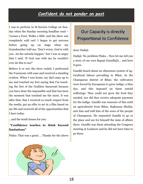## *Confident do not ponder on past*

I was to perform in St.Xaviers College on Sunday when the Sunday morning headline read – 'Looses a Foot, Walks a Mile' and the show was completely sold out! I began to get nervous before going up on stage when my Grandmother told me, 'Don't worry, God is with you…let the miracle happen.' but I was so angry that I said, 'If God was with me he wouldn't ever do this to me!"

Believe it or not, the show ended, I performed the Varanyam with ease and received a standing ovation. When I was home, my dad came up to me and touched my feet saying that I'm touching the feet of the Goddess Saraswati because you have done the impossible and that has been the moment that touched me the most. It was after that, that I received so much respect from the media, got an offer to act in a film based on my life and received all of the opportunities that I have today.

…and the tenth lesson for you:

#### **"Confidence teaches to think beyond limitations"**

Pinku: That was a great … Thanks for the above

# Our Capacity is directly Proportional to Confidence

story Dadaji.

Dadaji: No problem Pinku… Now let me tell you a story of our own Bapuji (Gandhiji)… and here it goes.

Gandhi heard about an obnoxious system of agricultural labour prevailing in Bihar. In the Champaran district of Bihar, the cultivators were forced by Europeans to grow indigo, a blue dye, and this imposed on them untold sufferings. They could not grow the food they needed, nor did they receive adequate payment for the indigo. Gandhi was unaware of this until an agriculturist from Bihar, Rajkumar Shukla, met him and told him of the woes of the people of Champaran. He requested Gandhi to go to the place and see for himself the state of affairs there. Gandhi was them attending the Congress meeting at Lucknow and he did not have time to go there.

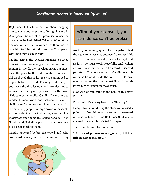## *Confident doesn't know to 'give up'*

Rajkumar Shukla followed him about, begging him to come and help the suffering villagers in Champaran. Gandhi at last promised to visit the place after he had visited Calcutta. When Gandhi was in Calcutta, Rajkumar was there too, to take him to Bihar. Gandhi went to Champaran with Rajkumar early in 1917.

On his arrival the District Magistrate served him with a notice saying g that he was not to remain in the district of Champaran but must leave the place by the first available train. Gandhi disobeyed this order. He was summoned to appear before the court. The magistrate said, 'If you leave the district now and promise not to return, the case against you will be withdrawn. 'This cannot be.' replied Gandhi. 'I came here to render humanitarian and national service. I shall make Champaran my home and work for the suffering people.' A large crowd of peasants was outside the court shouting slogans. The magistrate and the police looked nervous. Then Gandhi said, 'I shall help you to calm these people if I can speak to them.'

Gandhi appeared before the crowd and said, 'You must show your faith in me and in my

## Without your consent, your confidence can't be broken

work by remaining quiet. The magistrate had the right to arrest me, because I disobeyed his order. If I am sent to jail, you must accept that as just. We must work peacefully. And violent act will harm out cause.' The crowd dispersed peacefully. The police stared at Gandhi in admiration as he went inside the court. The Government withdrew the case against Gandhi and allowed him to remain in the district.

Now who do you think is the hero of this story Pinku?

Pinku: Ah! It's so easy to answer "Gandhiji"…

Dadaji: No Pinku, during the story you missed a point that Gandhiji was not so much interested in going to Bihar. It was Rajkumar Shukla who ensured that Gandhiji visited Champaran.

…and the Eleventh lesson for you:

**"Confident person never gives up till the mission is completed."** 

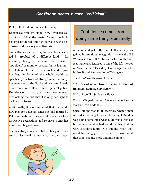## *Confident doesn't care "criticism"*

Pinku: Oh! I did not think so far Dadaji.

Dadaji: No problem Pinku. Now I will tell you about Sania Mirza the greatest Tennis star India has ever produced. But her life was never a bed of roses and the story goes like this:

Sania Mirza's success story has also been besotted by troubles of a different kind – for instance, being a Muslim, the so-called 'upholders' of morality posited that it is a matter of shame for her to wear skirts and expose her legs in front of the whole world, or specifically, in front of strange men. Secondly, her marriage to the Pakistani cricketer Shoaib also drew a lot of flak from the general public. Her decision to marry early was condemned, overlooking the fact that it is only her right to decide such issues.

Additionally, it was rumoured that she would now play for Pakistan, since she had married a Pakistani national. Despite all such baseless, distractive accusations and remarks, Sania has never been bogged down.

She has always concentrated on her game, in a truly professional manner. Also, her own deter-

# Confidence comes from doing same thing repeatedly

mination and grit in the face of all adversity has gained international recognition – she is the UN Women's Goodwill Ambassador for South Asia. Her name also features in one of the fifty heroes of Asia – a list released by Time magazine. She is also 'Brand Ambassador' of Telangana.

…and the Twelfth lesson for you:

#### **"Confident never lose hope in the face of baseless negative criticism"**

Pinku: I too like Sania as a Player.

Dadaji: Oh yeah me too. Let me now tell you a story of Lord Buddha…

Once Buddha was in an assembly when a man walked in looking furious. He thought Buddha was doing something wrong. He was a restless businessman and he had found that his children were spending hours with Buddha when they could have engaged themselves in business at that time, making more and more money.

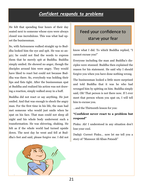#### *Confident responds to problems*

He felt that spending four hours of their day seated next to someone whose eyes were always closed was incredulous. This was what had upset the businessman.

So, with furiousness walked straight up to Buddha looked him the eye and spit. He was so angry; he could not find the words to express them that he merely spit at Buddha. Buddha simply smiled. He showed no anger, though the disciples around him were angry. They would have liked to react but could not because Buddha was there. So, everybody was holding their lips and fists tight. After the businessman spat at Buddha and realized his action was not drawing a reaction, simply walked away in a huff.

Buddha did not react or say anything. He just smiled. And that was enough to shock the angry man. For the first time in his life, the man had met someone who would just smile when he spat on his face. That man could not sleep all night and his whole body underwent such a transformation. He was shivering, shaking. He felt as if the whole world had turned upside down. The next day he went and fell at Buddha's feet and said, please forgive me. I did not

# Feed your confidence to starve your fear

know what I did. To which Buddha replied, "I cannot excuse you!"

Everyone including the man and Buddha's disciples were stunned. Buddha then explained the reason for his statement. He said why I should forgive you when you have done nothing wrong.

The businessman looked a little more surprised and told Buddha that it was he who had wronged him by spitting on him. Buddha simply said, Oh! That person is not there now. If I ever meet that person whom you spat on, I will tell him to excuse you.

…and the Thirteenth lesson for you:

#### **"Confident never react to a problem but respond"**

Pinku: Ah! I understood in any situation don't lose your cool.

Dadaji: Correct Pinku… now let me tell you a story of "Mansoor Ali Khan Pataudi"

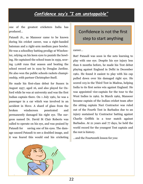#### *Confidence say's "I am unstoppable"*

one of the greatest cricketers India has produced…

Pataudi Jr., as Mansoor came to be known during his cricket career, was a right-handed batsman and a right-arm medium pace bowler. He was a schoolboy batting prodigy at Winchester, relying on his keen eyes to punish the bowling. He captained the school team in 1959, scoring 1,068 runs that season and beating the school record set in 1919 by Douglas Jardine. He also won the public schools rackets championship, with partner Christopher Snell.

He made his first-class debut for Sussex in August 1957, aged 16, and also played for Oxford while he was at university and was the first Indian captain there. On 1 July 1961, he was a passenger in a car which was involved in an accident in Hove. A shard of glass from the broken windscreen penetrated and permanently damaged his right eye. The surgeon named Dr. David St Clair Roberts was called to operate on his eye, and was praised by Pataudi for saving one of his eyes. The damage caused Pataudi to see a doubled image, and it was feared this would end his cricketing



#### career…

But! Pataudi was soon in the nets learning to play with one eye. Despite his eye injury less than 6 months before, he made his Test debut playing against England in Delhi in December 1961. He found it easiest to play with his cap pulled down over his damaged right eye. He scored 103 in the Third Test in Madras, helping India to its first series win against England. He was appointed vice-captain for the tour to the West Indies in 1962. In March 1962, Mansoor became captain of the Indian cricket team after the sitting captain Nari Contractor was ruled out of the Fourth Test in Barbados due to an injury sustained by Contractor batting against Charlie Griffith in a tour match against Barbados. At 21 years and 77 days, he held the world record for the youngest Test captain and the rest is history.

…and the Fourteenth lesson for you:

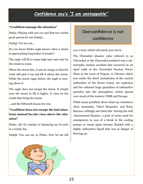## *Confidence say's "I am unstoppable"*

#### **"Confident manage the situation"**

Pinku: Playing with one eye and that too cricket great person he was Dadaji…

Dadaji: Yes my son…

Do you know Pinku eagle knows when a storm is approaching long before it breaks?

The eagle will fly to some high spot and wait for the winds to come.

When the storm hits, it sets its wings so that the wind will pick it up and lift it above the storm. While the storm rages below, the eagle is soaring above it.

The eagle does not escape the storm. It simply uses the storm to lift it higher. It rises on the winds that bring the storm.

…and the Fifteenth lesson for you:

#### **"Confident does not escape the bad situations instead he/she rises above the situation"**

Pinku: Ah! It's similar to balancing my bi-cycle in a windy day.

Dadaji: You can say so Pinku. Now let me tell

# Overconfidence is not confidence

you a story which will pinch your nerve.

The Chernobyl disaster (also referred to as Chernobyl or the Chernobyl accident) was a catastrophic nuclear accident that occurred on 26 April 1986 at the Chernobyl Nuclear Power Plant in the town of Pripyat, in Ukraine which was under the direct jurisdiction of the central authorities of the Soviet Union. An explosion and fire released large quantities of radioactive particles into the atmosphere, which spread over much of the western USSR and Europe.

While many perished, three clean-up volunteers Alexi Ananenko, Valeri Bezpoalov and Boris Baronov willingly met their fate. During the well -documented disaster, a pool of water used for emergencies in case of a break in the cooling pumps or steam pipes became flooded with a highly radioactive liquid that was in danger of blowing up.

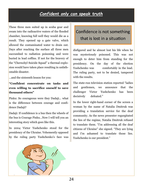## *Confident only can speak truth*

These three men suited up in scuba gear and swam into the radioactive waters of the flooded chamber, knowing full well they would die as a result. They opened up a gate valve, which allowed the contaminated water to drain out. Days after reaching the surface all three men succumbed to radiation poisoning and were buried in lead coffins. If not for the bravery of the "Chernobyl Suicide Squad" a thermal explosion would have taken place resulting in unfathomable disaster.

…and the sixteenth lesson for you:

#### **"Confident concentrate on tasks and even willing to sacrifice oneself to save thousand others"**

Pinku: So courageous were they Dadaji… what is the difference between courage and confidence Dadaji?

Dadaji: If confidence is a bus then the wheels of the bus is Courage Pinku…Now I will tell you an interesting story which goes like this.

In 2004 Victor Yushchenko stood for the presidency of the Ukraine. Vehemently opposed by the ruling party Yushchenko's face was

# Confidence is not something that is lost in a situation

disfigured and he almost lost his life when he was mysteriously poisoned. This was not enough to deter him from standing for the presidency. On the day of the election Yushchenko was comfortably in the lead. The ruling party, not to be denied, tampered with the results.

The state-run television station reported "ladies and gentlemen, we announce that the challenger Victor Yushchenko has been decisively defeated."

In the lower right-hand corner of the screen a woman by the name of Natalia Dmitruk was providing a translation service for the deaf community. As the news presenter regurgitated the lies of the regime, Natalia Dmitruk refused to translate them. "I'm addressing all the deaf citizens of Ukraine" she signed. "They are lying and I'm ashamed to translate those lies. Yushchenko is our president."

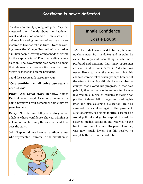## *Confident is never defeated*

The deaf community sprang into gear. They text messaged their friends about the fraudulent result and as news spread of Dmitruk's act of defiance increasing numbers of journalists were inspired to likewise tell the truth. Over the coming weeks the "Orange Revolution" occurred as a million people wearing orange made their way to the capital city of Kiev demanding a new election. The government was forced to meet their demands, a new election was held and Victor Yushchenko became president.

…and the seventeenth lesson for you:

#### **"One confident small voice can start a revolution"**

**Pinku: Ah! Great story Dadaji…** Natalia Dmitruk even though I cannot pronounce the name properly I will remember this story for years to come.

Dadaji: Now let me tell you a story of an athelete whose confidence showed winning is not important finishing the race is… and here goes the story…

John Stephen Akhwari was a marathon runner who represented Tanzania in the marathon in

# Inhale Confidence Exhale Doubt

1968. He didn't win a medal. In fact, he came nowhere near. But, in defeat and in pain, he came to represent something much more profound and enduring than many sportsmen achieve in illustrious careers. Akhwari was never likely to win the marathon, but his chances were wrecked when, perhaps because of the effects of the high altitude, he succumbed to cramps that slowed his progress. If that was painful, then worse was to come after he was involved in a melee of athletes jockeying for position. Akhwari fell to the ground, gashing his knee and also causing a dislocation. He also smashed his shoulder against the pavement. Most observers, seeing his injuries, assumed he would pull out and go to hospital. Instead, he received medical attention and returned to the track to continue his race. His pace, of course, was now much lower, but his resolve to complete the event remained intact.

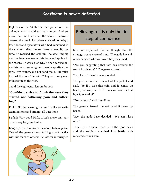## *Confident is never defeated*

Eighteen of the 75 starters had pulled out; he did now wish to add to that number. And so, more than an hour after the winner, Akhwari crossed the line in last place, cheered home by a few thousand spectators who had remained in the stadium after the sun went down. By the time he reached the stadium, he was limping and the bandage around his leg was flapping in the breeze He was asked why he had carried on, and his response has gone down in sporting history. "My country did not send me 5,000 miles to start the race," he said. "They sent me 5,000 miles to finish the race."

…and the eighteenth lesson for you:

#### **"Confident strive to finish the race they started not bothering pain and suffering."**

Pinku: So the learning for me I will also write examinations and attempt all questions.

Dadaji: Very good Pinku… let's move on… another story for your Pinku:

Long ago, there was a battle about to take place. One of the generals was talking about tactics with his team of officers. An officer interrupted

# Believing self is only the first step of confidence

him and explained that he thought that the strategy was a waste of time. "The gods have already decided who will win." he proclaimed.

"Are you suggesting that fate has decided the result in advance?" The general asked.

"Yes, I Am." the officer responded.

The general took a coin out of his pocket and said, "So if I toss this coin and it comes up heads, we win, but if it's tails we lose. Is that how fate works?"

"Pretty much." said the officer.

The general tossed the coin and it came up heads.

"See, the gods have decided. We can't lose now!"

They went to their troops with the good news and the soldiers marched into battle with renewed enthusiasm.

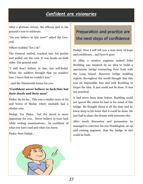## *Confident are visionaries*

After a glorious victory, the officers met in the general's tent to celebrate.

"Do you believe in fate now?" asked the General.

Officer nodded "Yes I do"

The General smiled, reached into his pocket and pulled out the coin. It was heads on both sides. The general said:

"I still don't believe in fate, but self-belief. When the soldiers thought that we couldn't lose, I knew that we couldn't lose."

…and the Nineteenth lesson for you:

#### **"Confident never believe in luck/fate but their deeds and their men"**

Pinku: Ha ha ha… This was a similar story of Jai and Veeru of Sholay where Amitabh had a similar coin.

Dadaji: Yes Pinku… but the moral is more important for you… Never believe in your luck while writing examinations… be confident of what you have read and what you know.

Pinku: Sure Dadaji…

# Preparation and practice are the next steps of confidence

Dadaji: Now I will tell you a true story of hope and confidence… and here it goes:

In 1883, a creative engineer named John Roebling was inspired by an idea to build a spectacular bridge connecting New York with the Long Island. However bridge building experts throughout the world thought that this was an impossible feat and told Roebling to forget the idea. It just could not be done. It was not practical.

It had never been done before. Roebling could not ignore the vision he had in his mind of this bridge. He thought about it all the time and he knew deep in his heart that it could be done. He just had to share the dream with someone else.

After much discussion and persuasion he managed to convince his son Washington, an up and coming engineer, that the bridge in fact could be built.

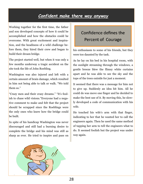## *Confident make there way anyway*

Working together for the first time, the father and son developed concepts of how it could be accomplished and how the obstacles could be overcome. With great excitement and inspiration, and the headiness of a wild challenge before them, they hired their crew and began to build their dream bridge.

The project started well, but when it was only a few months underway a tragic accident on the site took the life of John Roebling.

Washington was also injured and left with a certain amount of brain damage, which resulted in him not being able to talk or walk. "We told them so."

"Crazy men and their crazy dreams." "It's foolish to chase wild visions."Everyone had a negative comment to make and felt that the project should be scrapped since the Roeblings were the only ones who knew how the bridge could be built.

In spite of his handicap Washington was never discouraged and still had a burning desire to complete the bridge and his mind was still as sharp as ever. He tried to inspire and pass on

# Confidence defines the Percent of Courage

his enthusiasm to some of his friends, but they were too daunted by the task.

As he lay on his bed in his hospital room, with the sunlight streaming through the windows, a gentle breeze blew the flimsy white curtains apart and he was able to see the sky and the tops of the trees outside for just a moment.

It seemed that there was a message for him not to give up. Suddenly an idea hit him. All he could do was move one finger and he decided to make the best use of it. By moving this, he slowly developed a code of communication with his wife.

He touched his wife's arm with that finger, indicating to her that he wanted her to call the engineers again. Then he used the same method of tapping her arm to tell the engineers what to do. It seemed foolish but the project was under way again.

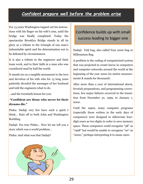#### *Confident prepare well before the problem arise*

For 13 years Washington tapped out his instructions with his finger on his wife's arm, until the bridge was finally completed. Today the spectacular Brooklyn Bridge stands in all its glory as a tribute to the triumph of one man's indomitable spirit and his determination not to be defeated by circumstances.

It is also a tribute to the engineers and their team work, and to their faith in a man who was considered mad by half the world.

It stands too as a tangible monument to the love and devotion of his wife who for 13 long years patiently decoded the messages of her husband and told the engineers what to do.

…and the twentieth lesson for you:

#### **"Confident are those who never let their dreams die."**

Pinku: Dadaji very few have such a spirit I think… Hats off to both John and Washington Roebling.

Dadaji: Yes true Pinku… Now let me tell you a story which was a world problem…

Pinku: And what was that Dadaji?

# Confidence builds up with small success leading to bigger one

Dadaji: Y2K bug, also called Year 2000 bug or Millennium Bug.

A problem in the coding of computerized system that was projected to create havoc in computers and computer networks around the world at the beginning of the year 2000 (in metric measurements K stands for thousand).

After more than a year of international alarm, feverish preparations, and programming corrections, few major failures occurred in the transition from December 31, 1999, to January 1, 2000.

Until the 1990s, many computer programs (especially those written in the early days of computers) were designed to abbreviate fourdigit years as two digits in order to save memory space. These computers could recognize "98" as "1998" but would be unable to recognize "00" as "2000," perhaps interpreting it to mean 1900.

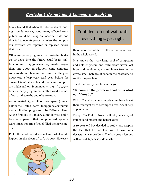## *Confident do not mind burning midnight oil*

Many feared that when the clocks struck midnight on January 1, 2000, many affected computers would be using an incorrect date and thus fail to operate properly unless the computers' software was repaired or replaced before that date.

Other computer programs that projected budgets or debts into the future could begin malfunctioning in 1999 when they made projections into 2000. In addition, some computer software did not take into account that the year 2000 was a leap year. And even before the dawn of 2000, it was feared that some computers might fail on September 9, 1999 (9/9/99), because early programmers often used a series of 9s to indicate the end of a program.

An estimated \$300 billion was spent (almost half in the United States) to upgrade computers and application programs to be Y2K-compliant. As the first day of January 2000 dawned and it became apparent that computerized systems were intact, reports of relief filled the news media.

Pinku the whole world was not sure what would happen in the dawn of 01/01/2000. However,

# Confident do not wait until everything is just right

there were consolidated efforts that were done in the whole world.

It is known that very large pool of competent and able engineers and technocrats never lost hope and confidence, worked hours together to create small patches of code in the programs to rectify the problem.

…and the twenty first lesson for you:

#### **"Encounter the problem head on is what confident do"**

Pinku: Dadaji so many people must have burnt their midnight oil to accomplish this. Absolutely appreciative.

Dadaji: Yes Pinku… Now I will tell you a story of student and master and here it goes:

A 10-year-old boy decided to study judo despite the fact that he had lost his left arm in a devastating car accident. The boy began lessons with an old Japanese judo master.

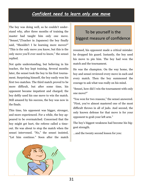## *Confident need to learn only one move*

The boy was doing well, so he couldn't understand why, after three months of training the master had taught him only one move. "Sensei,"(Teacher in Japanese) the boy finally said, "Shouldn't I be learning more moves?" "This is the only move you know, but this is the only move you'll ever need to know," the sensei replied.

Not quite understanding, but believing in his teacher, the boy kept training. Several months later, the sensei took the boy to his first tournament. Surprising himself, the boy easily won his first two matches. The third match proved to be more difficult, but after some time, his opponent became impatient and charged; the boy deftly used his one move to win the match. Still amazed by his success, the boy was now in the finals.

This time, his opponent was bigger, stronger, and more experienced. For a while, the boy appeared to be overmatched. Concerned that the boy might get hurt, the referee called a timeout. He was about to stop the match when the sensei intervened. "No," the sensei insisted, "Let him continue." Soon after the match

# To be yourself is the biggest measure of confidence

resumed, his opponent made a critical mistake: he dropped his guard. Instantly, the boy used his move to pin him. The boy had won the match and the tournament.

He was the champion. On the way home, the boy and sensei reviewed every move in each and every match. Then the boy summoned the courage to ask what was really on his mind.

"Sensei, how did I win the tournament with only one move?"

"You won for two reasons," the sensei answered. "First, you've almost mastered one of the most difficult throws in all of judo. And second, the only known defense for that move is for your opponent to grab your left arm."

The boy's biggest weakness had become his biggest strength.

…and the twenty second lesson for you:

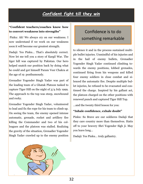# *Confident fight till they win*

#### **"Confident teachers/coaches know how to convert weakness into strengths"**

Pinku: Ah! We always cry on our weakness. I now understand if we work on our weakness soon it will become our greatest strength.

Dadaji: Yes Pinku… That's absolutely correct. Now let me tell you a story of Kargil War. The tiger hill was captured by Pakistan. Our hero helped snatch our position back by doing what he could and got himself Param Veer Chakra at the age of 19 posthumously.

Grenadier Yogender Singh Yadav was part of the leading team of a Ghatak Platoon tasked to capture Tiger Hill on the night of 3/4 July 1999. The approach to the top was steep, snowbound and rocky.

Grenadier Yogender Singh Yadav, volunteered to lead and fix the rope for his team to climb up. On seeing the team, the enemy opened intense automatic, grenade, rocket and artillery fire killing the Commander and two of his colleagues and the platoon was stalled. Realizing the gravity of the situation, Grenadier Yogender Singh Yadav crawled up to the enemy position

# Confidence is to do something remarkable

to silence it and in the process sustained multiple bullet injuries. Unmindful of his injuries and in the hail of enemy bullets, Grenadier Yogender Singh Yadav continued climbing towards the enemy positions, lobbed grenades, continued firing from his weapons and killed four enemy soldiers in close combat and silenced the automatic fire. Despite multiple bullet injuries, he refused to be evacuated and continued the charge. Inspired by his gallant act, the platoon charged on the other positions with renewed punch and captured Tiger Hill Top.

…and the twenty third lesson for you:

#### **"Inhale confidence, exhale doubt"**

Pinku: So Brave are our soldieres Dadaji that they care country more than themselves. Hatts off to your bravery Shri Yogender Sigh ji. May you leave long...

Dadaji: Yes Pinku… truly gallantry.

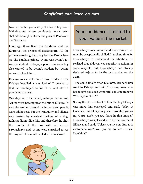## *Confident can learn on own*

Now let me tell you a story of a brave boy from Mahabharata whose confidence levels even shaked the mighty Drona the guru of Pandava's and Kauravas.

Long ago there lived the Pandavas and the Kauravas, the princes of Hastinapura. All the princes were taught archery by Sage Dronacharya. The Pandava prince, Arjuna was Drona's favourite student. Eklavya, a poor commoner boy also wanted to be Drona's student but Drona refused to teach him.

Eklavya was a determined boy. Under a tree Eklavya installed a clay idol of Dronacharya that he worshiped as his Guru...and started practicing archery.

One day, as it happened, Acharya Drona and Arjuna were passing near the hut of Eklavya. It was pleasant and peaceful afternoon and people were taking rest. But the tranquility and silence was broken by constant barking of a dog. Eklavya did not like this, and therefore, he shut the mouth of the dog with an arrow! Dronacharya and Arjuna were surprised to see the dog with his mouth sealed with an arrow!

# Your confidence is related to your value in the market

Dronacharya was amazed and knew this archer must be exceptionally skilled. It took no time for Dronacharya to understand the situation. He realized that Eklavya was superior to Arjuna in some respects. But, Dronacharya had already declared Arjuna to be the best archer on the earth.

They could finally trace Ekalavya. Dronacharya went to Eklavya and said, "O young man, who has taught you such wonderful skills in archery! Who is your Guru?"

Seeing the Guru in front of him, the boy Eklavya was more that overjoyed and said, "Why, O Gurudev, this all is your grace! I worship you as my Guru. Look you are there in that image!" Dronacharya was pleased with the dedication of Eklavya, and said, "I bless you my son. But as is customary, won't you give me my fees - Guru-Dakshina!"

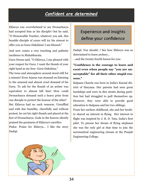## *Confident are determined*

Eklavya was overwhelmed to see Dronacharya had accepted him as his disciple! Out he said, "O Honourable Teacher, whatever you ask, this humble disciple of yours will try his utmost to offer you as Guru-Dakshina! I am blessed."

And now comes a very touching and pathetic incidence in Mahabharata.

Guru Drona said, "O Eklavya, I am pleased with your respect for Guru. I want the thumb of your right hand as my fees- Guru-Dakshina."

The trees and atmosphere around stood still for a minute! Even Arjuna was stunned on listening to the unusual and almost cruel demand of his Guru. To ask for the thumb of an archer was equivalent to almost kill him! How could Dronacharya demand such a heavy prize from one disciple to protect the honour of the other! But Eklavya had no such remorse. Unruffled and with due humility, cheerfully and without protest, he cut his right thumb and placed at the feet of Dronacharya. Gods in the heaven silently praised the greatness of Eklavya's sacrifice.

Pinku: Praise for Eklavya… I like the story Dadaji.

# Experience and insights define your confidence

Dadaji: You should…! See how Eklavya was so determined to learn archery…

…and the twenty fourth lesson for you:

**"Confidence is the courage to learn and excel even when people say "you are unacceptable" for all their other stupid reasons."**

Kalpana Chawla was born in India's Karnal district of Haryana. Her parents had seen great hardships and were in dire straits during partition but had struggled to pull themselves up. However, they were able to provide good education to Kalpana and her two siblings.

From her earliest childhood, she and her brother shared an interest in flying. Her interest in flight was inspired by J. R. D. Tata, India's first pilot. To pursue her dream of flying airplanes she was the only girl at that time to join the aeronautical engineering stream at the Punjab Engineering College.

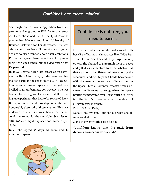## *Confident are clear-minded*

She fought and overcame opposition from her parents and migrated to USA for further studies. Here, she joined the University of Texas to pursue her Masters and later, University of Boulder, Colorado for her doctorate. This was admirable, since few children at such a young age are so clear-minded about their ambitions. Furthermore, even fewer have the will to pursue them with such single-minded dedication that Kalpana did.

In 1994, Chawla began her career as an astronaut with NASA. In 1997, she went on her maiden sortie in the space shuttle STS - 87 Columbia as a mission specialist. She got embroiled in an unfortunate controversy. She was blamed for letting go of a science satellite during an experiment that had to be retrieved later. But upon subsequent investigations, she was honourably absolved of these charges. This was underscored when she was chosen for the second time round, for the next Columbia mission STS- 107 as a flight engineer and mission specialist.

In all she logged 30 days, 14 hours and 54 minutes in space.

# Confidence is not free, you need to earn it

For the second mission, she had carried with her CDs of her favourite artistes like Abida Parveen, Pt. Ravi Shankar and Deep Purple, among others. She planned to autograph them in space and gift it as mementoes to these artistes. But that was not to be. Sixteen minutes short of the scheduled landing, Kalpana Chawla became one with the cosmos she so loved. Chawla died in the Space Shuttle Columbia disaster which occurred on February 1, 2003, when the Space Shuttle disintegrated over Texas during re-entry into the Earth's atmosphere, with the death of all seven crew members.

Pinku: So! Sad Dadaji..

Dadaji: Yes my son… But she did what she always wanted to do.

…and the twenty fifth lesson for you:

**"Confident knows that the path from dreams to success does exist."** 

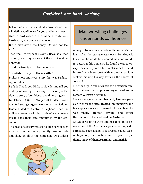## *Confident are hard-working*

Let me now tell you a short conversation that will define confidence for you and here it goes:

Once a bird asked a Bee, after a continuous hard-work, you prepare the honey.

But a man steals the honey. Do you not feel sad?

Then the Bee replied: Never… Because a man can only steal my honey not the art of making honey..!!

…and the twenty sixth lesson for you:

#### **"Confident rely on their skills"**

Pinku: Short and sweet story that was Dadaji… Appreciate it.

Dadaji: Thank you Pinku… Now let me tell you a story of courage… a story of making selection… a story of confidence… and here it goes.

In October 1999, Dr Munjed Al Muderis was a talented young surgeon working at the Saddam Hussein Medical Centre in Baghdad when the military broke in with busloads of army deserters to have their ears amputated by the surgeons.

The head of surgery refused to take part in such a barbaric act and was promptly taken outside and shot. In all of the confusion, Dr Muderis

# Man wrestling challenges understands confidence

managed to hide in a cubicle in the women's toilets. After the carnage was over, Dr Muderis knew that he would be a wanted man and couldn't return to his home, so he found a way to escape the country and a few weeks later he found himself on a leaky boat with 150 other asylum seekers making his way towards the shores of Australia.

He ended up in one of Australia's detention centers that are used to process asylum seekers in remote Western Australia.

He was assigned a number and, like everyone else in these facilities, treated inhumanely while his application was processed. A year later he was finally granted asylum and given the freedom to live and work in Australia.

Dr Muderis got to work and has gone on to become one of the Australia's greatest orthopaedic surgeons, specializing in a process called osseointegration, that enables him to give his patients, many of them Australian and British

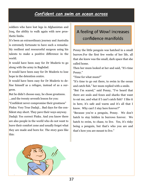#### *Confident can swim an ocean across*

soldiers who have lost legs in Afghanistan and Iraq, the ability to walk again with new prosthetic limbs.

It's been an extraordinary journey and Australia is extremely fortunate to have such a remarkably resilient and resourceful surgeon using his talents to make a positive difference in the world.

It would have been easy for Dr Muderis to go along with the army in Baghdad.

It would have been easy for Dr Muderis to lose hope in the detention centre.

It would have been easy for Dr Muderis to define himself as a refugee, instead of as a surgeon.

But he didn't choose easy, he chose greatness. …and the twenty seventh lesson for you:

"Confident never compromise their greatness" Pinku: Very True Dadaji… Bad days for the confident stay short. They pave their ways anyway. Dadaji: Yes correct Pinku. And you know there are also people in the world who do not want to leave their comfort zone and usually forget what they are made and born for. The story goes like this:

# A feeling of Wow! increases confidence manifolds

Penny the little penguin was hatched in a small burrow.For the first few weeks of her life, all that she knew was the small, dark space that she called home.

Then her mum looked at her and said, "It's time Penny."

"Time for what mum?"

"It's time to go out there, to swim in the ocean and catch fish." her mum replied with a smile.

"But I'm scared," said Penny, "I've heard that there are seals and foxes and sharks that want to eat me, and what if I can't catch fish? I like it in here, it's safe and warm and it's all that I know. Why can't I stay here forever?"

"Because you're a penguin, Penny. We don't hatch to stay hidden in burrows forever. We hatch to swim, to chase, to live. Yes, it's risky being a penguin, but that's who you are and that's how you are meant to live."

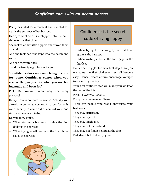#### *Confident can swim an ocean across*

Penny hesitated for a moment and waddled towards the entrance of her burrow.

Her eyes blinked as she stepped into the sunshine for the first time.

She looked at her little flippers and waved them around.

And she took her first steps into the ocean and swam.

And she felt truly alive!

…and the twenty eight lesson for you:

**"Confidence does not come being in comfort zone. Confidence comes when you realize the purpose for what you are being made and born for"** 

Pinku: But how will I know Dadaji what is my purpose?

Dadaji: That's not hard to realize. Actually you already know what you want to be. It's only your inability to come out of comfort zone and start what you want to be…

Do you know Pinku?

- $\Rightarrow$  When starting a business, making the first dollar is the hardest.
- $\Rightarrow$  When trying to sell products, the first phone call is the hardest.

# Confidence is the secret code of living happy

- $\Rightarrow$  When trying to lose weight, the first kilogram is the hardest.
- $\Rightarrow$  When writing a book, the first page is the hardest.

Every one struggles for their first step. Once you overcome the first challenge, rest all become easy. Hence, elders always encourage younger to try and try and try…

Your first confident step will make your walk for the rest of the life.

Pinku: How true Dadaji…

Dadaji: Also remember Pinku

There are people who won't appreciate your best work.

They may criticize it.

They may reject it.

They may laugh at it.

They may not understand it.

They may not find it helpful at the time.

**But don't let that stop you.**

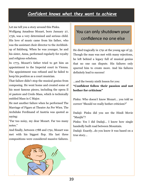#### *Confident knows what they want to achieve*

Let me tell you a story around this Pinku.

Wolfgang Amadeus Mozart, born January 27, 1756, was a very determined and serious child. His love of music came from his father, who was the assistant choir director to the Archbishop of Salzburg. When he was younger, he and his sister, Anna, performed regularly for royalty and religious echelons.

In 1773, Mozart's father tried to get him an appointment to the Imperial court in Vienna. The appointment was refused and he failed to keep his position as a court musician.

That failure didn't stop the musical genius from composing. He went home and created some of his most famous pieces, including the opera Il ré pastore and Credo Mass, which is technically entitled Mass in C Major.

He met another failure when he performed The Marriage of Figaro at Theatre An Per Wien. The Archduke Ferdinand of Austria was quoted as saying:

"Far too noisy, my dear Mozart. Far too many notes."

And finally, between 1788 and 1791, Mozart was met with his biggest flop. His last three compositions were considered massive failures.

# You can only shutdown your confidence no one else

He died tragically in 1791 at the young age of 35. Though the man was met with many rejections, he left behind a legacy full of musical genius that no one can dispute. His failures only spurred him to create more. And his failures definitely lead to success!

…and the twenty ninth lesson for you:

**"Confident follow their passion and not bother for criticism"**

Pinku: Who doesn't know Mozart… you told so correct "Should we really bother criticism?"

Dadaji: Pinku did you see the Hindi Movie "Manjhi"?

Pinku: Yes I did Dadaji… I know how single handedly built road between Mountain.

Dadaji: Exactly…do you know it was based on a true story…

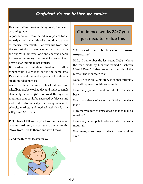#### *Confident do not bother mountains*

Dashrath Manjhi was, in many ways, a very unassuming man.

A poor labourer from the Bihar region of India, tragedy struck when his wife died due to a lack of medical treatment. Between his town and the nearest doctor was a mountain that made the trip 70 kilometres long and she was unable to receive necessary treatment for an accident before succumbing to her injuries.

Broken-hearted, but determined not to allow others from his village suffer the same fate, Dashrath spent the next 22 years of his life on a single-minded purpose.

Armed with a hammer, chisel, shovel and wheelbarrow, he worked day and night to single -handedly carve a 360 foot road through the mountain that could be accessed by bicycle and motorbike, dramatically increasing access to schools, markets and medical facilities for his village and 60 others.

Pinku truly I tell you, if you have faith as small as a mustard seed, you can say to the mountain, 'Move from here to there,' and it will move.

…and the thirtieth lesson for you:



# Confidence works 24/7 you just need to realize this

#### **"Confident have faith even to move mountains"**

Pinku: I remember the last scene Dadaji where the road made by him was named "Dashrath Manjhi Road". I also remember the title of the movie "The Mountain Man"

Dadaji: Yes Pinku… his story is so inspirational. His suthra/means of life was simple.

How many grains of sand does it take to make a beach?

How many drops of water does it take to make a lake?

How many blades of grass does it take to make a meadow?

How many small pebbles does it take to make a mountain?

How many stars does it take to make a night sky?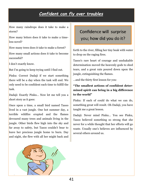# *Confident can fly over troubles*

How many raindrops does it take to make a storm?

How many letters does it take to make a timeless novel?

How many trees does it take to make a forest?

How many small actions does it take to become successful?

I don't exactly know.

But I'm going to keep trying until I find out.

Pinku: Correct Dadaji if we start something there will be a day when the task will end. We only need to be confident each time to fulfill the task.

Dadaji: Exactly Pinku… Now let me tell you a short story as it goes:

Once upon a time, a small bird named Tasoo lived in a vast jungle. One hot summer day, a terrible wildfire erupted and the flames devoured many trees and animals living in the jungle. Other birds flew high into the sky and far away to safety, but Tasoo couldn't bear to leave her precious jungle home to burn. Day and night, she flew with all her might back and

# Confidence will surprise you; how did you do it?

forth to the river, filling her tiny beak with water to drop on the raging fires.

Tasoo's rare heart of courage and unshakable determination moved the heavenly gods to shed tears, and a great rain poured down upon the jungle, extinguishing the flames.

…and the thirty first lesson for you:

#### **"The smallest actions of confident determined spirit can bring in a big difference to the world"**

Pinku: If each of could do what we can do, something great will result. Oh Dadaji, you have taught me a great lesson.

Dadaji: Never mind Pinku… You see Pinku, Tasoo believed something so strong that she never for a while thought that her efforts will go waste. Usually one's believes are influenced by several others around us.

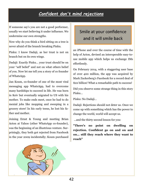## *Confident don't mind rejections*

If someone say's you are not a good performer, usually we start believing it under influence. We undermine our own strengths.

Now why do you think a bird sitting on a tree is never afraid of the branch breaking Pinku.

Pinku: I know Dadaji, as her trust is not on branch but on its own wings.

Dadaji: Exactly Pinku… your trust should be on your "self belief" and not on what others belief of you. Now let me tell you a story of co founder of WhatsApp.

Jan Koum, co-founder of one of the most viral messaging app WhatsApp, had to overcome many hardships to succeed in life. He was born in Keiv but eventually migrated to US with his mother. To make ends meet, once he had to do menial jobs like mopping and sweeping in a grocery store! In his early teens, he lost his father and mother.

Joining Ernst & Young and meeting Brian Acton at Yahoo (other WhatsApp co-founder), was the beginning of an illustrious venture. Surprisingly, they both got rejected from Facebook in the year 2009 incidentally; Koum purchased

# Smile at your confidence and it will smile back

an iPhone and over the course of time with the help of Acton, devised an interoperable easy-touse mobile app which helps us exchange IMs effortlessly.

On February 2014, with a staggering user base of over 400 million, the app was acquired by Mark Zuckerberg's Facebook for a record deal of \$22 billion! What a remarkable path to success!

Did you observe some strange thing in this story Pinku…

Pinku: No Dadaji…

Dadaji: Rejections should not deter us. Once we come up with something which has the power to change the world, world will accept us.

…and the thirty second lesson for you:

**"There's no point on dwelling on rejection. Confident go on and on and on… still they reach where they want to reach"**

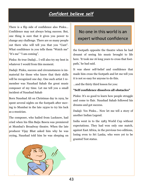# *Confident believe self*

There is a flip side of confidence also Pinku… Confidence may not always bring success. But, one thing is sure that it gives you power to change any challenge. There are so many people out there who will tell you that you "Cant". What confidence in you tells them "Watch me" "It's me" "I am coming".

Pinku: So true Dadaji… I will also try my best in whatever I would from this moment.

Dadaji: Pinku, success and circumstances is immaterial for those who know that their skills will be recognized one day. One such artist I remember was Naushad Sahab the great music composer of my time. Let me tell you a small incident of Naushad Sahab

Born Naushad Ali on Christmas day in 1919, he spent several nights on the footpath after moving to Mumbai in the late 1930s to try his luck as a musician.

The composer, who hailed from Lucknow, had cried when his film Baiju Bawra was premiered at Mumbai's Broadway theatre. When the late producer Vijay Bhat asked him why he was crying, Naushad told him he was sleeping on

# No one in this world is an expert without confidence

the footpath opposite the theatre when he had dreamt of seeing his music brought to life here. 'It took me 16 long years to cross that footpath,' he had said.

It was sheer self-belief and confidence that made him cross the footpath and let me tell you it is not so easy for anyone to do this.

…and the thirty third lesson for you:

#### **"Self confidence dissolves all obstacles"**

Pinku: It's so good to learn how people struggle and come to flair. Naushad Sahab followed his dreams and got success.

Dadaji: Yes Pinku… Now let me tell a story of another Indian Legend.

India went in to the 1983 World Cup without expectations. They had won only one match, against East Africa, in the previous two editions, losing even to Sri Lanka, who were yet to be granted Test status.

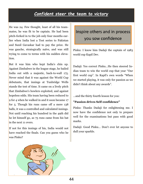#### *Confident steer the team to victory*

He was 24. Few thought, least of all his teammates, he was fit to be captain. He had been pitch-forked in to the job only four months earlier when India lost a Test series to Pakistan and Sunil Gavaskar had to pay the price. He was gauche, strategically naïve, and was still trying to come to terms with his sudden elevation.

But it was him who kept India's chin up. Against Zimbabwe in the league stage, he bailed India out with a majestic, back-to-wall 175. Never mind that it was against the World Cup debutants, that innings at Tunbridge Wells stands the test of time. It came on a lively pitch that Zimbabwe's bowlers exploited, and against hopeless odds. His team having been reduced to 9 for 4 when he walked in and it soon became 17 for 5. Though his runs came off a mere 138 balls, it was a controlled and calculated innings. Not until reaching his hundred in the 49th did he let himself go, as 75 runs came from his bat in the next 11 overs.

If not for this innings of his, India would not have reached the finals. Can you guess who he was Pinku?

# Inspire others and in process you sow confidence

Pinku: I know him Dadaji the captain of 1983 world cup Kapil Dev.

Dadaji: Yes correct Pinku…He then steered Indian team to win the world cup that year "Our first world cup". In Kapil's own words "When we started playing, it was only for passion as we didn't think about any awards".

…and the thirty fourth lesson for you:

#### **"Passion drives Self-confidence"**

Pinku: Thanks Dadaji for enlightening me. I now have the confidence not only to prepare well for the examinations but pass with good marks.

Dadaji: Good Pinku… Don't ever let anyone to dull your sparkle.